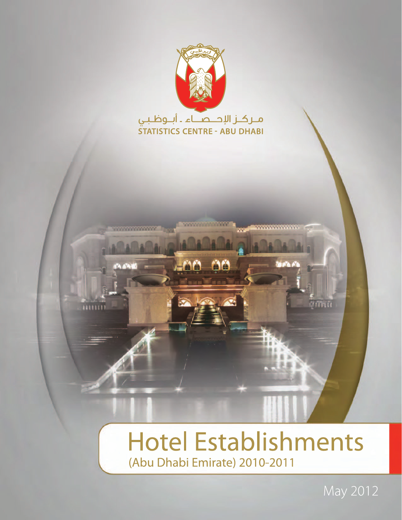

# **Hotel Establishments** (Abu Dhabi Emirate) 2010-2011

May 2012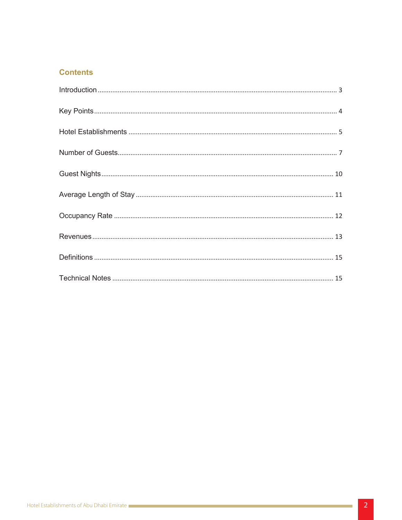# **Contents**

and the control of the control of the control of the control of the control of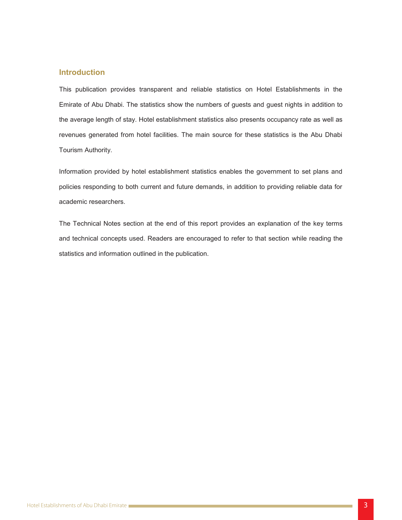# **Introduction**

This publication provides transparent and reliable statistics on Hotel Establishments in the Emirate of Abu Dhabi. The statistics show the numbers of guests and guest nights in addition to revenues generated from hotel facilities. The main source for these statistics is the Abu Dhabi the average length of stay. Hotel establishment statistics also presents occupancy rate as well as Tourism Authority.

policies responding to both current and future demands, in addition to providing reliable data for Information provided by hotel establishment statistics enables the government to set plans and academic researchers.

and technical concepts used. Readers are encouraged to refer to that section while reading the The Technical Notes section at the end of this report provides an explanation of the key terms statistics and information outlined in the publication.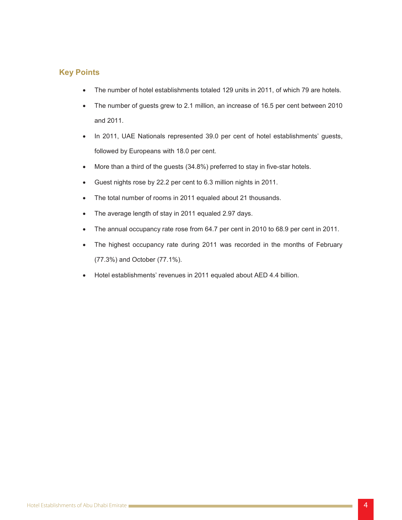# **Key Points**

- Intenumber of hotel establishments totaled 129 units in 2011, of which 79 are hotels.
- The number of guests grew to 2.1 million, an increase of 16.5 per cent between 2010 2011. and
- In 2011, UAE Nationals represented 39.0 per cent of hotel establishments' guests, followed by Europeans with 18.0 per cent.
- $\bullet$  More than a third of the guests (34.8%) preferred to stay in five-star hotels.
- $\bullet$  Guest nights rose by 22.2 per cent to 6.3 million nights in 2011.
	- The total number of rooms in 2011 equaled about 21 thousands.
- The average length of stay in 2011 equaled 2.97 days.
	- The annual occupancy rate rose from 64.7 per cent in 2010 to 68.9 per cent in 2011.
- Ine highest occupancy rate during 2011 was recorded in the months of February (77.3%) and October (77.1%).
	- Hotel establishments' revenues in 2011 equaled about AED 4.4 billion.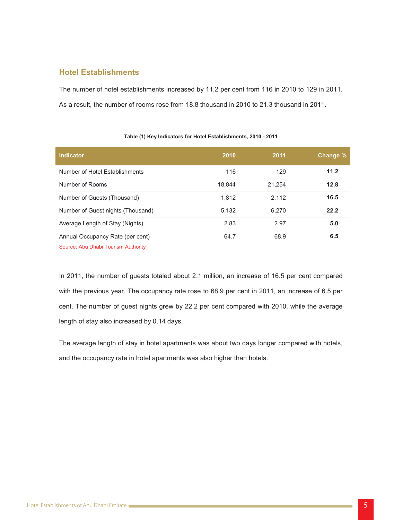# **Hotel Establishments**

The number of hotel establishments increased by 11.2 per cent from 116 in 2010 to 129 in 2011. ...........................................................................................10Nights Guest 5. As a result, the number of rooms rose from 18.8 thousand in 2010 to 21.3 thousand in 2011.

# **Table (1) Key Indicators for Hotel Establishments, 2010 - 2011**

| <b>Indicator</b>                    | 2010   | 2011   | Change % |
|-------------------------------------|--------|--------|----------|
| Number of Hotel Establishments      | 116    | 129    | 11.2     |
| Number of Rooms                     | 18,844 | 21,254 | 12.8     |
| Number of Guests (Thousand)         | 1,812  | 2,112  | 16.5     |
| Number of Guest nights (Thousand)   | 5,132  | 6,270  | 22.2     |
| Average Length of Stay (Nights)     | 2.83   | 2.97   | 5.0      |
| Annual Occupancy Rate (per cent)    | 64.7   | 68.9   | 6.5      |
| Source: Abu Dhabi Tourism Authority |        |        |          |

Source: Abu Dhabi Tourism Authority

In 2011, the number of guests totaled about 2.1 million, an increase of 16.5 per cent compared with the previous year. The occupancy rate rose to  $68.9$  per cent in 2011, an increase of  $6.5$  per cent. The number of guest nights grew by 22.2 per cent compared with 2010, while the average length of stay also increased by 0.14 days.

The average length of stay in hotel apartments was about two days longer compared with hotels, and the occupancy rate in hotel apartments was also higher than hotels.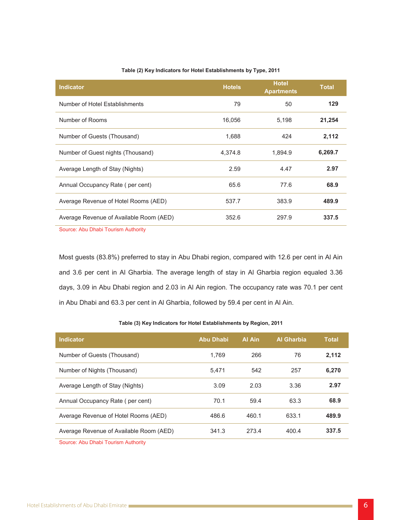#### Table (2) Key Indicators for Hotel Establishments by Type, 2011

| <b>Indicator</b>                        | <b>Hotels</b> | <b>Hotel</b><br><b>Apartments</b> | <b>Total</b> |
|-----------------------------------------|---------------|-----------------------------------|--------------|
| Number of Hotel Establishments          | 79            | 50                                | 129          |
| Number of Rooms                         | 16,056        | 5,198                             | 21,254       |
| Number of Guests (Thousand)             | 1,688         | 424                               | 2,112        |
| Number of Guest nights (Thousand)       | 4,374.8       | 1,894.9                           | 6,269.7      |
| Average Length of Stay (Nights)         | 2.59          | 4.47                              | 2.97         |
| Annual Occupancy Rate (per cent)        | 65.6          | 77.6                              | 68.9         |
| Average Revenue of Hotel Rooms (AED)    | 537.7         | 383.9                             | 489.9        |
| Average Revenue of Available Room (AED) | 352.6         | 297.9                             | 337.5        |
| Course: Abu Dhabi Tourism Authority     |               |                                   |              |

Source: Abu Dhabi Tourism Authority

Most guests (83.8%) preferred to stay in Abu Dhabi region, compared with 12.6 per cent in Al Ain and 3.6 per cent in Al Gharbia. The average length of stay in Al Gharbia region equaled 3.36 days, 3.09 in Abu Dhabi region and 2.03 in Al Ain region. The occupancy rate was 70.1 per cent in Abu Dhabi and 63.3 per cent in Al Gharbia, followed by 59.4 per cent in Al Ain.

#### Table (3) Key Indicators for Hotel Establishments by Region, 2011

| <b>Indicator</b>                        | Abu Dhabi | Al Ain | <b>Al Gharbia</b> | <b>Total</b> |
|-----------------------------------------|-----------|--------|-------------------|--------------|
| Number of Guests (Thousand)             | 1.769     | 266    | 76                | 2.112        |
| Number of Nights (Thousand)             | 5.471     | 542    | 257               | 6.270        |
| Average Length of Stay (Nights)         | 3.09      | 2.03   | 3.36              | 2.97         |
| Annual Occupancy Rate (per cent)        | 70.1      | 59.4   | 63.3              | 68.9         |
| Average Revenue of Hotel Rooms (AED)    | 486.6     | 460.1  | 633.1             | 489.9        |
| Average Revenue of Available Room (AED) | 341.3     | 273.4  | 400.4             | 337.5        |

Source: Abu Dhabi Tourism Authority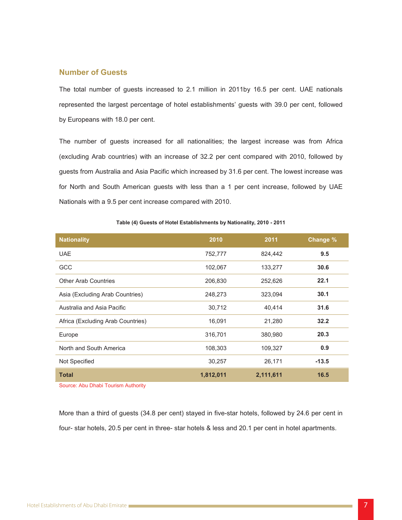## **Number of Guests**

The total number of guests increased to 2.1 million in 2011by 16.5 per cent. UAE nationals ...........................................................................................10Nights Guest 5. represented the largest percentage of hotel establishments' guests with 39.0 per cent, followed by Europeans with 18.0 per cent.

The number of guests increased for all nationalities; the largest increase was from Africa (excluding Arab countries) with an increase of 32.2 per cent compared with 2010, followed by for North and South American guests with less than a 1 per cent increase, followed by UAE guests from Australia and Asia Pacific which increased by 31.6 per cent. The lowest increase was Nationals with a 9.5 per cent increase compared with 2010.

# ......................................................................................15 Notes Technical 10. **% Change 2011 2010 Nationality 9.5** 824,442 752,777 UAE **30.6** 102,067 103,277 30.6 **22.1** 252,626 22.1 Asia (Excluding Arab Countries) **248,273** 248,273 323,094 30.1 Australia and Asia Pacific **Australia** 30,712 40,414 31.6 Africa (Excluding Arab Countries) **16,091** 21,280 **32.2 20.3** 380,980 316,701 Europe **North and South America 108,303** 109,327 **0.9 Not Specified 26,171** 26,171 **-13.5 16.5 2,111,611 1,812,011 Total**

**7able (4) Guests of Hotel Establishments by Nationality, 2010 - 2011** 

Source: Abu Dhabi Tourism Authority

More than a third of guests (34.8 per cent) stayed in five-star hotels, followed by 24.6 per cent in four- star hotels, 20.5 per cent in three- star hotels & less and 20.1 per cent in hotel apartments.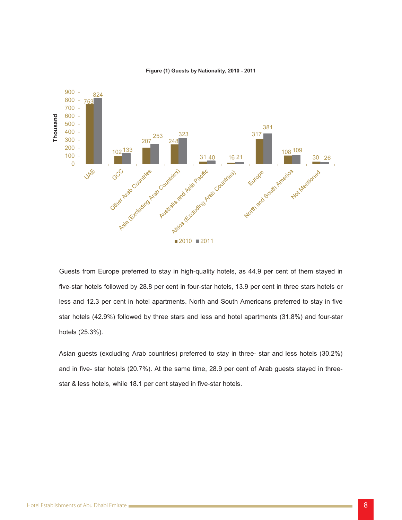

#### **Figure (1) Guests by Nationality, 2010 - 2011**

Guests from Europe preferred to stay in high-quality hotels, as 44.9 per cent of them stayed in five-star hotels followed by 28.8 per cent in four-star hotels, 13.9 per cent in three stars hotels or less and 12.3 per cent in hotel apartments. North and South Americans preferred to stay in five star-hotels (42.9%) followed by three stars and less and hotel apartments (31.8%) and four-star hotels (25.3%).

Asian guests (excluding Arab countries) preferred to stay in three- star and less hotels (30.2%) and in five- star hotels (20.7%). At the same time, 28.9 per cent of Arab guests stayed in three-<br>star & less hotels, while 18.1 per cent stayed in five-star hotels.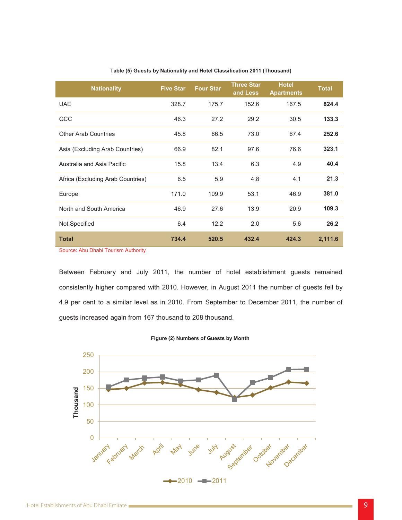|  |  | Table (5) Guests by Nationality and Hotel Classification 2011 (Thousand) |  |
|--|--|--------------------------------------------------------------------------|--|
|--|--|--------------------------------------------------------------------------|--|

| <b>UAE</b><br>152.6<br>167.5<br>328.7<br>175.7<br>GCC<br>46.3<br>27.2<br>29.2<br>30.5<br><b>Other Arab Countries</b><br>73.0<br>45.8<br>66.5<br>67.4<br>82.1<br>97.6<br>76.6<br>Asia (Excluding Arab Countries)<br>66.9<br>Australia and Asia Pacific<br>15.8<br>6.3<br>4.9<br>13.4<br>4.8<br>4.1<br>Africa (Excluding Arab Countries)<br>6.5<br>5.9<br>171.0<br>109.9<br>53.1<br>46.9<br>Europe<br>North and South America<br>46.9<br>27.6<br>13.9<br>20.9<br>6.4<br>12.2<br>2.0<br>5.6<br>Not Specified<br><b>Total</b><br>734.4<br>520.5<br>432.4<br>424.3 | <b>Nationality</b> | <b>Five Star</b> | <b>Four Star</b> | <b>Three Star</b><br>and Less | <b>Hotel</b><br><b>Apartments</b> | <b>Total</b> |
|---------------------------------------------------------------------------------------------------------------------------------------------------------------------------------------------------------------------------------------------------------------------------------------------------------------------------------------------------------------------------------------------------------------------------------------------------------------------------------------------------------------------------------------------------------------|--------------------|------------------|------------------|-------------------------------|-----------------------------------|--------------|
|                                                                                                                                                                                                                                                                                                                                                                                                                                                                                                                                                               |                    |                  |                  |                               |                                   | 824.4        |
|                                                                                                                                                                                                                                                                                                                                                                                                                                                                                                                                                               |                    |                  |                  |                               |                                   | 133.3        |
|                                                                                                                                                                                                                                                                                                                                                                                                                                                                                                                                                               |                    |                  |                  |                               |                                   | 252.6        |
|                                                                                                                                                                                                                                                                                                                                                                                                                                                                                                                                                               |                    |                  |                  |                               |                                   | 323.1        |
|                                                                                                                                                                                                                                                                                                                                                                                                                                                                                                                                                               |                    |                  |                  |                               |                                   | 40.4         |
|                                                                                                                                                                                                                                                                                                                                                                                                                                                                                                                                                               |                    |                  |                  |                               |                                   | 21.3         |
|                                                                                                                                                                                                                                                                                                                                                                                                                                                                                                                                                               |                    |                  |                  |                               |                                   | 381.0        |
|                                                                                                                                                                                                                                                                                                                                                                                                                                                                                                                                                               |                    |                  |                  |                               |                                   | 109.3        |
|                                                                                                                                                                                                                                                                                                                                                                                                                                                                                                                                                               |                    |                  |                  |                               |                                   | 26.2         |
|                                                                                                                                                                                                                                                                                                                                                                                                                                                                                                                                                               |                    |                  |                  |                               |                                   | 2,111.6      |

**Source: Abu Dhabi Tourism Authority** 

Between February and July 2011, the number of hotel establishment guests remained consistently higher compared with 2010. However, in August 2011 the number of guests fell by 4.9 per cent to a similar level as in 2010. From September to December 2011, the number of guests increased again from 167 thousand to 208 thousand.



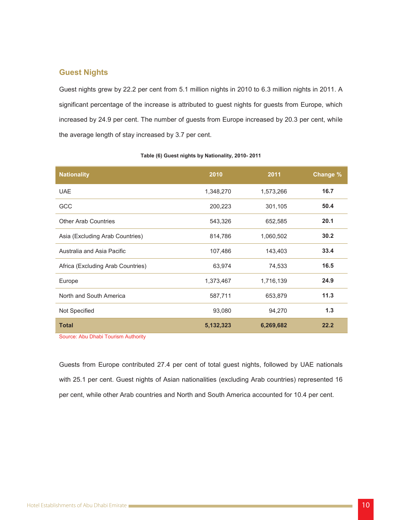# **Guest Nights**

Guest nights grew by 22.2 per cent from 5.1 million nights in 2010 to 6.3 million nights in 2011. A significant percentage of the increase is attributed to guest nights for guests from Europe, which the average length of stay increased by 3.7 per cent. increased by 24.9 per cent. The number of guests from Europe increased by 20.3 per cent, while

| <b>Nationality</b>                | 2010      | 2011      | Change % |
|-----------------------------------|-----------|-----------|----------|
| <b>UAE</b>                        | 1,348,270 | 1,573,266 | 16.7     |
| GCC                               | 200,223   | 301,105   | 50.4     |
| <b>Other Arab Countries</b>       | 543,326   | 652,585   | 20.1     |
| Asia (Excluding Arab Countries)   | 814,786   | 1,060,502 | 30.2     |
| Australia and Asia Pacific        | 107,486   | 143,403   | 33.4     |
| Africa (Excluding Arab Countries) | 63,974    | 74,533    | 16.5     |
| Europe                            | 1,373,467 | 1,716,139 | 24.9     |
| North and South America           | 587,711   | 653,879   | 11.3     |
| Not Specified                     | 93,080    | 94,270    | 1.3      |
| <b>Total</b>                      | 5,132,323 | 6,269,682 | 22.2     |

#### **7able (6) Guest nights by Nationality, 2010-2011**

Source: Abu Dhabi Tourism Authority

Guests from Europe contributed 27.4 per cent of total guest nights, followed by UAE nationals with 25.1 per cent. Guest nights of Asian nationalities (excluding Arab countries) represented 16 per cent, while other Arab countries and North and South America accounted for 10.4 per cent.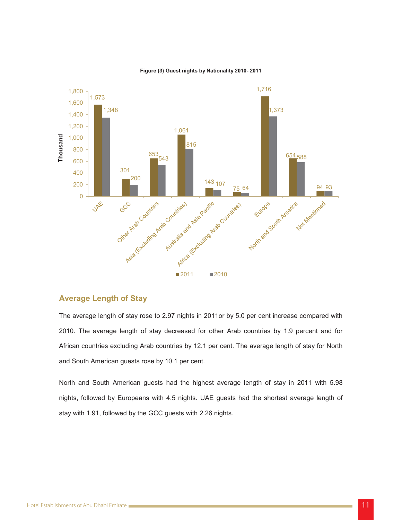

#### **2010- 1016 2011 2010 2011 2010 2011**

## **Average Length of Stay**

The average length of stay rose to 2.97 nights in 2011 or by 5.0 per cent increase compared with 2010. The average length of stay decreased for other Arab countries by 1.9 percent and for African countries excluding Arab countries by 12.1 per cent. The average length of stay for North and South American guests rose by 10.1 per cent.

North and South American guests had the highest average length of stay in 2011 with 5.98 nights, followed by Europeans with 4.5 nights. UAE guests had the shortest average length of stay with 1.91, followed by the GCC guests with 2.26 nights.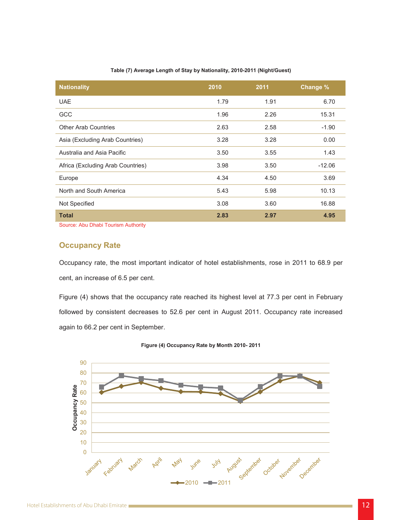#### Table (7) Average Length of Stay by Nationality, 2010-2011 (Night/Guest)

| <b>Nationality</b>                | 2010 | 2011 | Change % |
|-----------------------------------|------|------|----------|
| <b>UAE</b>                        | 1.79 | 1.91 | 6.70     |
| <b>GCC</b>                        | 1.96 | 2.26 | 15.31    |
| <b>Other Arab Countries</b>       | 2.63 | 2.58 | $-1.90$  |
| Asia (Excluding Arab Countries)   | 3.28 | 3.28 | 0.00     |
| Australia and Asia Pacific        | 3.50 | 3.55 | 1.43     |
| Africa (Excluding Arab Countries) | 3.98 | 3.50 | $-12.06$ |
| Europe                            | 4.34 | 4.50 | 3.69     |
| North and South America           | 5.43 | 5.98 | 10.13    |
| Not Specified                     | 3.08 | 3.60 | 16.88    |
| <b>Total</b>                      | 2.83 | 2.97 | 4.95     |

Source: Abu Dhabi Tourism Authority

#### ......................................................................................15 Notes Technical 10. **Occupancy Rate**

Occupancy rate, the most important indicator of hotel establishments, rose in 2011 to 68.9 per cent, an increase of 6.5 per cent.

Figure (4) shows that the occupancy rate reached its highest level at 77.3 per cent in February followed by consistent decreases to 52.6 per cent in August 2011. Occupancy rate increased again to 66.2 per cent in September.

**2011 2010**- **2011 2010 2011** 

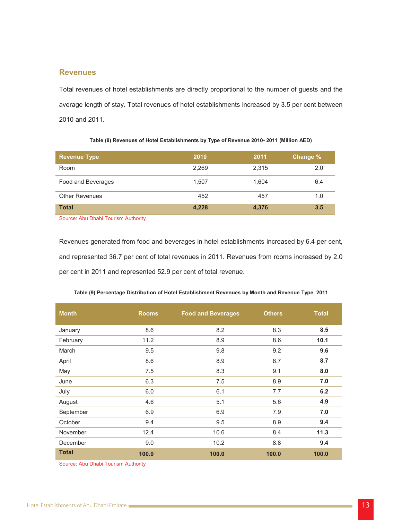## **Revenues**

Total revenues of hotel establishments are directly proportional to the number of guests and the average length of stay. Total revenues of hotel establishments increased by 3.5 per cent between 2010 and 2011.

| <b>Revenue Type</b>                 | 2010  | 2011  | Change % |
|-------------------------------------|-------|-------|----------|
| Room                                | 2,269 | 2,315 | 2.0      |
| Food and Beverages                  | 1,507 | 1,604 | 6.4      |
| <b>Other Revenues</b>               | 452   | 457   | 1.0      |
| <b>Total</b>                        | 4,228 | 4,376 | 3.5      |
| Source: Abu Dhabi Tourism Authority |       |       |          |

Table (8) Revenues of Hotel Establishments by Type of Revenue 2010- 2011 (Million AED)

Revenues generated from food and beverages in hotel establishments increased by 6.4 per cent, and represented 36.7 per cent of total revenues in 2011. Revenues from rooms increased by 2.0 per cent in 2011 and represented 52.9 per cent of total revenue.

| <b>Month</b> | <b>Rooms</b> | <b>Food and Beverages</b> | <b>Others</b> | <b>Total</b> |
|--------------|--------------|---------------------------|---------------|--------------|
| January      | 8.6          | 8.2                       | 8.3           | 8.5          |
| February     | 11.2         | 8.9                       | 8.6           | 10.1         |
| March        | 9.5          | 9.8                       | 9.2           | 9.6          |
| April        | 8.6          | 8.9                       | 8.7           | 8.7          |
| May          | 7.5          | 8.3                       | 9.1           | 8.0          |
| June         | 6.3          | 7.5                       | 8.9           | 7.0          |
| July         | 6.0          | 6.1                       | 7.7           | 6.2          |
| August       | 4.6          | 5.1                       | 5.6           | 4.9          |
| September    | 6.9          | 6.9                       | 7.9           | 7.0          |
| October      | 9.4          | 9.5                       | 8.9           | 9.4          |
| November     | 12.4         | 10.6                      | 8.4           | 11.3         |
| December     | 9.0          | 10.2                      | 8.8           | 9.4          |
| <b>Total</b> | 100.0        | 100.0                     | 100.0         | 100.0        |

|  | 110 Table (9) Percentage Distribution of Hotel Establishment Revenues by Month and Revenue Type, 2011 |  |  |
|--|-------------------------------------------------------------------------------------------------------|--|--|
|--|-------------------------------------------------------------------------------------------------------|--|--|

Source: Abu Dhabi Tourism Authority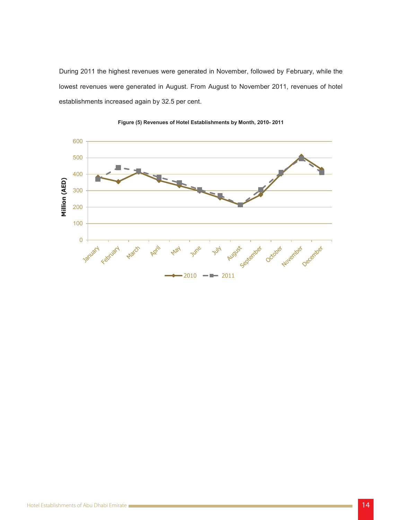lowest revenues were generated in August. From August to November 2011, revenues of hotel During 2011 the highest revenues were generated in November, followed by February, while the establishments increased again by 32.5 per cent.

![](_page_13_Figure_1.jpeg)

![](_page_13_Figure_2.jpeg)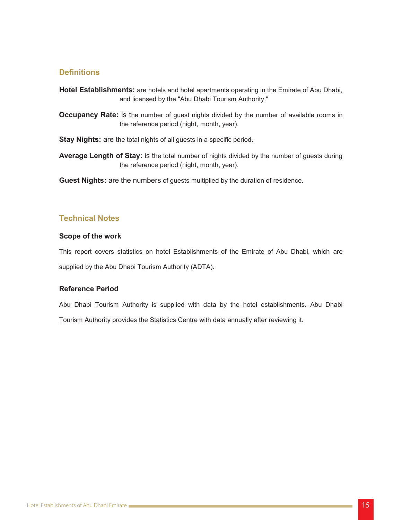# **Definitions**

Hotel Establishments: are hotels and hotel apartments operating in the Emirate of Abu Dhabi, and licensed by the "Abu Dhabi Tourism Authority."

Occupancy Rate: is the number of guest nights divided by the number of available rooms in the reference period (night, month, year).

**Stay Nights:** are the total nights of all guests in a specific period.

the reference period (night, month, year). Average Length of Stay: is the total number of nights divided by the number of quests during

...............................................................................................13 Revenues 8. Guest Nights: are the numbers of guests multiplied by the duration of residence.

# **Technical Notes Technical Rotes Technical Rotes Technical Rotes Technical Rotes Technical Rotes 9.1 Operations 9.1 Operations 9.1 Operations 9.1 Operations 9.1 Operations 9.1 Operations 9.1 Operations 9.1 Operations 9.1 O**

#### ......................................................................................15 Notes Technical 10. **Scope of the work**

This report covers statistics on hotel Establishments of the Emirate of Abu Dhabi, which are supplied by the Abu Dhabi Tourism Authority (ADTA).

### **Reference Period**

Abu Dhabi Tourism Authority is supplied with data by the hotel establishments. Abu Dhabi Tourism Authority provides the Statistics Centre with data annually after reviewing it.